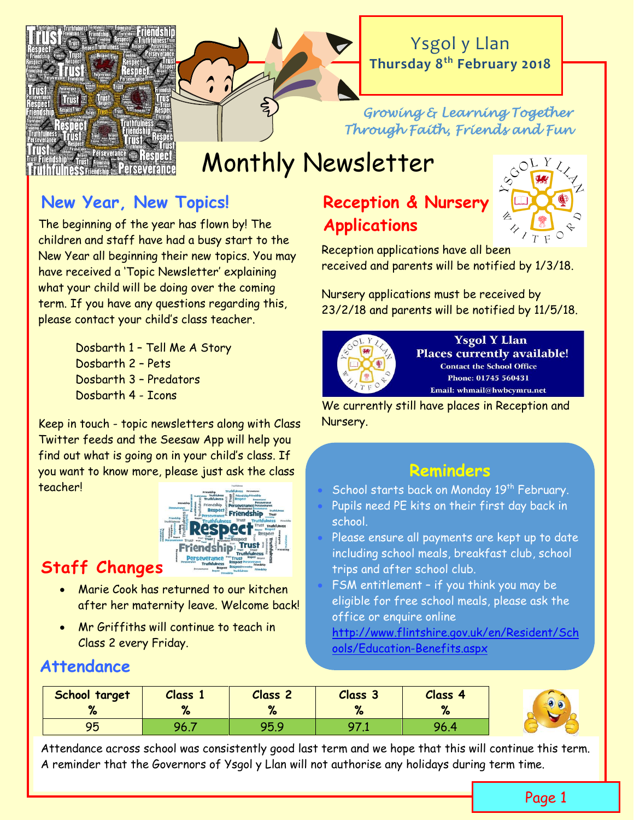

Ysgol y Llan **Thursday 8th February 2018**

#### *Growing & Learning Together Through Faith, Friends and Fun*

# Monthly Newsletter

# **New Year, New Topics!**

The beginning of the year has flown by! The children and staff have had a busy start to the New Year all beginning their new topics. You may have received a 'Topic Newsletter' explaining what your child will be doing over the coming term. If you have any questions regarding this, please contact your child's class teacher.

> Dosbarth 1 – Tell Me A Story Dosbarth 2 – Pets Dosbarth 3 – Predators Dosbarth 4 - Icons

Keep in touch - topic newsletters along with Class Twitter feeds and the Seesaw App will help you find out what is going on in your child's class. If you want to know more, please just ask the class teacher!



# **Staff Changes**

- Marie Cook has returned to our kitchen after her maternity leave. Welcome back!
- Mr Griffiths will continue to teach in Class 2 every Friday.

#### **Attendance**

# **Reception & Nursery Applications**



Reception applications have all been received and parents will be notified by 1/3/18.

Nursery applications must be received by 23/2/18 and parents will be notified by 11/5/18.



**Ysgol Y Llan Places currently available! Contact the School Office** Phone: 01745 560431 Email: whmail@hwbcymru.net

We currently still have places in Reception and Nursery.

#### **Reminders**

- School starts back on Monday 19<sup>th</sup> February. Pupils need PE kits on their first day back in school.
- Please ensure all payments are kept up to date including school meals, breakfast club, school trips and after school club.
- FSM entitlement if you think you may be eligible for free school meals, please ask the office or enquire online

[http://www.flintshire.gov.uk/en/Resident/Sch](http://www.flintshire.gov.uk/en/Resident/Schools/Education-Benefits.aspx) [ools/Education-Benefits.aspx](http://www.flintshire.gov.uk/en/Resident/Schools/Education-Benefits.aspx)

| School target<br>$\alpha$<br>70 | <b>Class</b><br>$\mathbf{a}$ | Class <sub>2</sub><br>70 | Class 3<br>70 | Class 4<br>$\mathbf{a}$<br>ze |  |
|---------------------------------|------------------------------|--------------------------|---------------|-------------------------------|--|
| 95                              | 96.                          | 95.9                     | ---           | 96 A                          |  |

Attendance across school was consistently good last term and we hope that this will continue this term. A reminder that the Governors of Ysgol y Llan will not authorise any holidays during term time.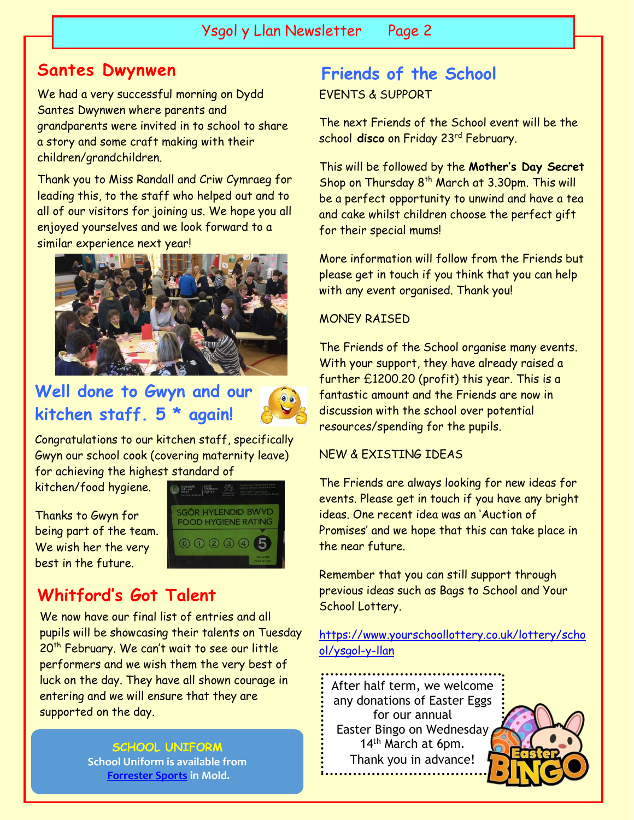#### Ysgol y Llan Newsletter Page 2

#### **Santes Dwynwen**

We had a very successful morning on Dydd Santes Dwynwen where parents and grandparents were invited in to school to share a story and some craft making with their children/grandchildren.

Thank you to Miss Randall and Criw Cymraeg for leading this, to the staff who helped out and to all of our visitors for joining us. We hope you all enjoyed yourselves and we look forward to a similar experience next year!



# **Well done to Gwyn and our kitchen staff. 5 \* again!**



Congratulations to our kitchen staff, specifically Gwyn our school cook (covering maternity leave) for achieving the highest standard of

kitchen/food hygiene.

Thanks to Gwyn for being part of the team. We wish her the very best in the future.



# **Whitford's Got Talent**

We now have our final list of entries and all pupils will be showcasing their talents on Tuesday 20<sup>th</sup> February. We can't wait to see our little performers and we wish them the very best of luck on the day. They have all shown courage in entering and we will ensure that they are supported on the day.

> **SCHOOL UNIFORM School Uniform is available from [Forrester Sports](http://www.forrestersports.co.uk/acatalog/Ysgol-Y-Llan-Whitford.html) in Mold.**

# **Friends of the School**

EVENTS & SUPPORT

The next Friends of the School event will be the school **disco** on Friday 23rd February.

This will be followed by the **Mother's Day Secret** Shop on Thursday 8<sup>th</sup> March at 3.30pm. This will be a perfect opportunity to unwind and have a tea and cake whilst children choose the perfect gift for their special mums!

More information will follow from the Friends but please get in touch if you think that you can help with any event organised. Thank you!

#### MONEY RAISED

The Friends of the School organise many events. With your support, they have already raised a further £1200.20 (profit) this year. This is a fantastic amount and the Friends are now in discussion with the school over potential resources/spending for the pupils.

#### NEW & EXISTING IDEAS

The Friends are always looking for new ideas for events. Please get in touch if you have any bright ideas. One recent idea was an 'Auction of Promises' and we hope that this can take place in the near future.

Remember that you can still support through previous ideas such as Bags to School and Your School Lottery.

[https://www.yourschoollottery.co.uk/lottery/scho](https://www.yourschoollottery.co.uk/lottery/school/ysgol-y-llan) [ol/ysgol-y-llan](https://www.yourschoollottery.co.uk/lottery/school/ysgol-y-llan)

After half term, we welcome any donations of Easter Eggs for our annual Easter Bingo on Wednesday 14<sup>th</sup> March at 6pm. Thank you in advance!

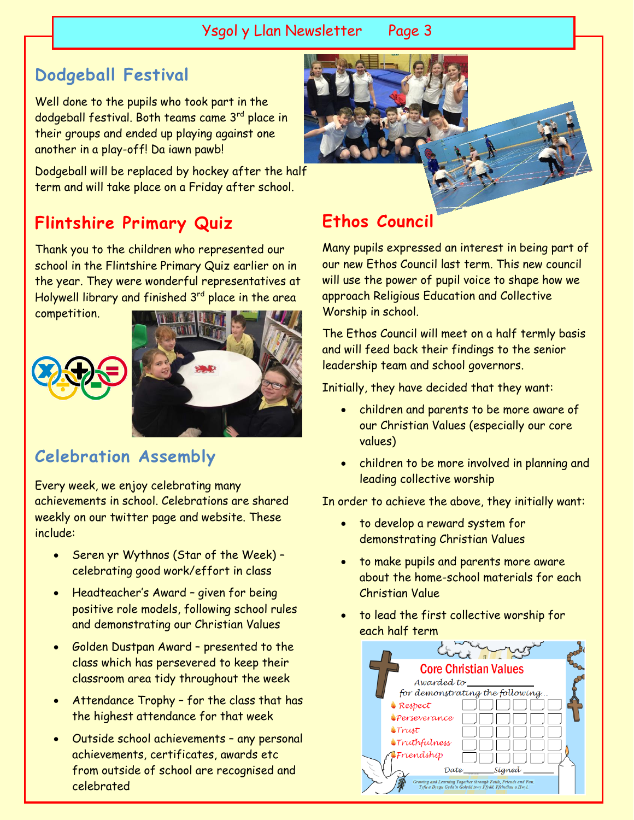Ysgol y Llan Newsletter Page 3

### **Dodgeball Festival**

Well done to the pupils who took part in the dodgeball festival. Both teams came 3<sup>rd</sup> place in their groups and ended up playing against one another in a play-off! Da iawn pawb!

Dodgeball will be replaced by hockey after the half term and will take place on a Friday after school.

### **Flintshire Primary Quiz**

Thank you to the children who represented our school in the Flintshire Primary Quiz earlier on in the year. They were wonderful representatives at Holywell library and finished 3<sup>rd</sup> place in the area competition.





# **Celebration Assembly**

Every week, we enjoy celebrating many achievements in school. Celebrations are shared weekly on our twitter page and website. These include:

- Seren yr Wythnos (Star of the Week) celebrating good work/effort in class
- Headteacher's Award given for being positive role models, following school rules and demonstrating our Christian Values
- Golden Dustpan Award presented to the class which has persevered to keep their classroom area tidy throughout the week
- Attendance Trophy for the class that has the highest attendance for that week
- Outside school achievements any personal achievements, certificates, awards etc from outside of school are recognised and celebrated



Many pupils expressed an interest in being part of our new Ethos Council last term. This new council will use the power of pupil voice to shape how we approach Religious Education and Collective Worship in school.

The Ethos Council will meet on a half termly basis and will feed back their findings to the senior leadership team and school governors.

Initially, they have decided that they want:

- children and parents to be more aware of our Christian Values (especially our core values)
- children to be more involved in planning and leading collective worship

In order to achieve the above, they initially want:

- to develop a reward system for demonstrating Christian Values
- to make pupils and parents more aware about the home-school materials for each Christian Value
- to lead the first collective worship for each half term